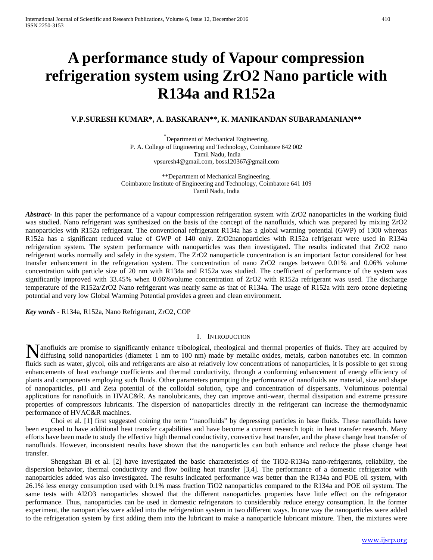# **A performance study of Vapour compression refrigeration system using ZrO2 Nano particle with R134a and R152a**

# **V.P.SURESH KUMAR\*, A. BASKARAN\*\*, K. MANIKANDAN SUBARAMANIAN\*\***

\* Department of Mechanical Engineering, P. A. College of Engineering and Technology, Coimbatore 642 002 Tamil Nadu, India vpsuresh4@gmail.com, boss120367@gmail.com

\*\*Department of Mechanical Engineering, Coimbatore Institute of Engineering and Technology, Coimbatore 641 109 Tamil Nadu, India

*Abstract***-** In this paper the performance of a vapour compression refrigeration system with ZrO2 nanoparticles in the working fluid was studied. Nano refrigerant was synthesized on the basis of the concept of the nanofluids, which was prepared by mixing ZrO2 nanoparticles with R152a refrigerant. The conventional refrigerant R134a has a global warming potential (GWP) of 1300 whereas R152a has a significant reduced value of GWP of 140 only. ZrO2nanoparticles with R152a refrigerant were used in R134a refrigeration system. The system performance with nanoparticles was then investigated. The results indicated that ZrO2 nano refrigerant works normally and safely in the system. The ZrO2 nanoparticle concentration is an important factor considered for heat transfer enhancement in the refrigeration system. The concentration of nano ZrO2 ranges between 0.01% and 0.06% volume concentration with particle size of 20 nm with R134a and R152a was studied. The coefficient of performance of the system was significantly improved with 33.45% when 0.06%volume concentration of ZrO2 with R152a refrigerant was used. The discharge temperature of the R152a/ZrO2 Nano refrigerant was nearly same as that of R134a. The usage of R152a with zero ozone depleting potential and very low Global Warming Potential provides a green and clean environment.

*Key words* - R134a, R152a, Nano Refrigerant, ZrO2, COP

## I. INTRODUCTION

anofluids are promise to significantly enhance tribological, rheological and thermal properties of fluids. They are acquired by Manofluids are promise to significantly enhance tribological, rheological and thermal properties of fluids. They are acquired by diffusing solid nanoparticles (diameter 1 nm to 100 nm) made by metallic oxides, metals, carb fluids such as water, glycol, oils and refrigerants are also at relatively low concentrations of nanoparticles, it is possible to get strong enhancements of heat exchange coefficients and thermal conductivity, through a conforming enhancement of energy efficiency of plants and components employing such fluids. Other parameters prompting the performance of nanofluids are material, size and shape of nanoparticles, pH and Zeta potential of the colloidal solution, type and concentration of dispersants. Voluminous potential applications for nanofluids in HVAC&R. As nanolubricants, they can improve anti-wear, thermal dissipation and extreme pressure properties of compressors lubricants. The dispersion of nanoparticles directly in the refrigerant can increase the thermodynamic performance of HVAC&R machines.

Choi et al. [1] first suggested coining the term ''nanofluids" by depressing particles in base fluids. These nanofluids have been exposed to have additional heat transfer capabilities and have become a current research topic in heat transfer research. Many efforts have been made to study the effective high thermal conductivity, convective heat transfer, and the phase change heat transfer of nanofluids. However, inconsistent results have shown that the nanoparticles can both enhance and reduce the phase change heat transfer.

Shengshan Bi et al. [2] have investigated the basic characteristics of the TiO2-R134a nano-refrigerants, reliability, the dispersion behavior, thermal conductivity and flow boiling heat transfer [3,4]. The performance of a domestic refrigerator with nanoparticles added was also investigated. The results indicated performance was better than the R134a and POE oil system, with 26.1% less energy consumption used with 0.1% mass fraction TiO2 nanoparticles compared to the R134a and POE oil system. The same tests with Al2O3 nanoparticles showed that the different nanoparticles properties have little effect on the refrigerator performance. Thus, nanoparticles can be used in domestic refrigerators to considerably reduce energy consumption. In the former experiment, the nanoparticles were added into the refrigeration system in two different ways. In one way the nanoparticles were added to the refrigeration system by first adding them into the lubricant to make a nanoparticle lubricant mixture. Then, the mixtures were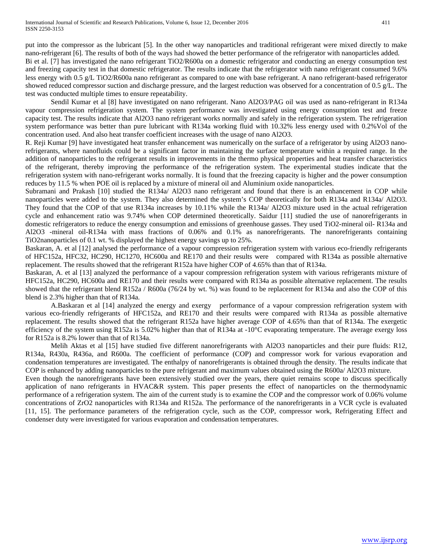put into the compressor as the lubricant [5]. In the other way nanoparticles and traditional refrigerant were mixed directly to make nano-refrigerant [6]. The results of both of the ways had showed the better performance of the refrigerator with nanoparticles added. Bi et al. [7] has investigated the nano refrigerant TiO2/R600a on a domestic refrigerator and conducting an energy consumption test and freezing capacity test in that domestic refrigerator. The results indicate that the refrigerator with nano refrigerant consumed 9.6% less energy with 0.5 g/L TiO2/R600a nano refrigerant as compared to one with base refrigerant. A nano refrigerant-based refrigerator showed reduced compressor suction and discharge pressure, and the largest reduction was observed for a concentration of 0.5 g/L. The test was conducted multiple times to ensure repeatability.

Sendil Kumar et al [8] have investigated on nano refrigerant. Nano Al2O3/PAG oil was used as nano-refrigerant in R134a vapour compression refrigeration system. The system performance was investigated using energy consumption test and freeze capacity test. The results indicate that Al2O3 nano refrigerant works normally and safely in the refrigeration system. The refrigeration system performance was better than pure lubricant with R134a working fluid with 10.32% less energy used with 0.2%Vol of the concentration used. And also heat transfer coefficient increases with the usage of nano Al2O3.

R. Reji Kumar [9] have investigated heat transfer enhancement was numerically on the surface of a refrigerator by using Al2O3 nanorefrigerants, where nanofluids could be a significant factor in maintaining the surface temperature within a required range. In the addition of nanoparticles to the refrigerant results in improvements in the thermo physical properties and heat transfer characteristics of the refrigerant, thereby improving the performance of the refrigeration system. The experimental studies indicate that the refrigeration system with nano-refrigerant works normally. It is found that the freezing capacity is higher and the power consumption reduces by 11.5 % when POE oil is replaced by a mixture of mineral oil and Aluminium oxide nanoparticles.

Subramani and Prakash [10] studied the R134a/ Al2O3 nano refrigerant and found that there is an enhancement in COP while nanoparticles were added to the system. They also determined the system's COP theoretically for both R134a and R134a/ Al2O3. They found that the COP of that use R134a increases by 10.11% while the R134a/ Al2O3 mixture used in the actual refrigeration cycle and enhancement ratio was 9.74% when COP determined theoretically. Saidur [11] studied the use of nanorefrigerants in domestic refrigerators to reduce the energy consumption and emissions of greenhouse gasses. They used TiO2-mineral oil- R134a and Al2O3 -mineral oil-R134a with mass fractions of 0.06% and 0.1% as nanorefrigerants. The nanorefrigerants containing TiO2nanoparticles of 0.1 wt. % displayed the highest energy savings up to 25%.

Baskaran, A. et al [12] analysed the performance of a vapour compression refrigeration system with various eco-friendly refrigerants of HFC152a, HFC32, HC290, HC1270, HC600a and RE170 and their results were compared with R134a as possible alternative replacement. The results showed that the refrigerant R152a have higher COP of 4.65% than that of R134a.

Baskaran, A. et al [13] analyzed the performance of a vapour compression refrigeration system with various refrigerants mixture of HFC152a, HC290, HC600a and RE170 and their results were compared with R134a as possible alternative replacement. The results showed that the refrigerant blend R152a / R600a (76/24 by wt. %) was found to be replacement for R134a and also the COP of this blend is 2.3% higher than that of R134a.

A.Baskaran et al [14] analyzed the energy and exergy performance of a vapour compression refrigeration system with various eco-friendly refrigerants of HFC152a, and RE170 and their results were compared with R134a as possible alternative replacement. The results showed that the refrigerant R152a have higher average COP of 4.65% than that of R134a. The exergetic efficiency of the system using R152a is 5.02% higher than that of R134a at -10°C evaporating temperature. The average exergy loss for R152a is 8.2% lower than that of R134a.

Melih Aktas et al [15] have studied five different nanorefrigerants with Al2O3 nanoparticles and their pure fluids: R12, R134a, R430a, R436a, and R600a. The coefficient of performance (COP) and compressor work for various evaporation and condensation temperatures are investigated. The enthalpy of nanorefrigerants is obtained through the density. The results indicate that COP is enhanced by adding nanoparticles to the pure refrigerant and maximum values obtained using the R600a/ Al2O3 mixture.

Even though the nanorefrigerants have been extensively studied over the years, there quiet remains scope to discuss specifically application of nano refrigerants in HVAC&R system. This paper presents the effect of nanoparticles on the thermodynamic performance of a refrigeration system. The aim of the current study is to examine the COP and the compressor work of 0.06% volume concentrations of ZrO2 nanoparticles with R134a and R152a. The performance of the nanorefrigerants in a VCR cycle is evaluated [11, 15]. The performance parameters of the refrigeration cycle, such as the COP, compressor work, Refrigerating Effect and condenser duty were investigated for various evaporation and condensation temperatures.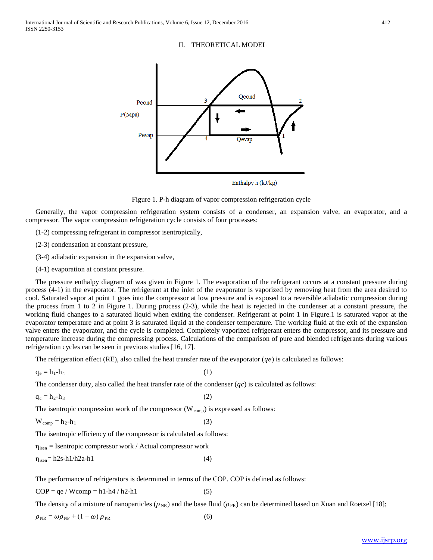#### II. THEORETICAL MODEL



Enthalpy h (kJ/kg)



Generally, the vapor compression refrigeration system consists of a condenser, an expansion valve, an evaporator, and a compressor. The vapor compression refrigeration cycle consists of four processes:

- (1-2) compressing refrigerant in compressor isentropically,
- (2-3) condensation at constant pressure,
- (3-4) adiabatic expansion in the expansion valve,
- (4-1) evaporation at constant pressure.

The pressure enthalpy diagram of was given in Figure 1. The evaporation of the refrigerant occurs at a constant pressure during process (4-1) in the evaporator. The refrigerant at the inlet of the evaporator is vaporized by removing heat from the area desired to cool. Saturated vapor at point 1 goes into the compressor at low pressure and is exposed to a reversible adiabatic compression during the process from 1 to 2 in Figure 1. During process (2-3), while the heat is rejected in the condenser at a constant pressure, the working fluid changes to a saturated liquid when exiting the condenser. Refrigerant at point 1 in Figure.1 is saturated vapor at the evaporator temperature and at point 3 is saturated liquid at the condenser temperature. The working fluid at the exit of the expansion valve enters the evaporator, and the cycle is completed. Completely vaporized refrigerant enters the compressor, and its pressure and temperature increase during the compressing process. Calculations of the comparison of pure and blended refrigerants during various refrigeration cycles can be seen in previous studies [16, 17].

The refrigeration effect (RE), also called the heat transfer rate of the evaporator  $(qe)$  is calculated as follows:

 $q_e = h_1 - h_4$  (1)

The condenser duty, also called the heat transfer rate of the condenser  $(qc)$  is calculated as follows:

 $q_c = h_2 - h_3$  (2)

The isentropic compression work of the compressor  $(W_{comp})$  is expressed as follows:

 $W_{\text{comp}} = h_2 - h_1$  (3)

The isentropic efficiency of the compressor is calculated as follows:

 $\eta_{\rm isen}$  = Isentropic compressor work / Actual compressor work

 $\eta_{\text{isen}} = h2s-h1/h2a-h1$  (4)

The performance of refrigerators is determined in terms of the COP. COP is defined as follows:

 $COP = qe / Wcomp = h1-h4 / h2-h1$  (5)

The density of a mixture of nanoparticles ( $\rho_{NR}$ ) and the base fluid ( $\rho_{PR}$ ) can be determined based on Xuan and Roetzel [18];

 $\rho_{\rm NR} = \omega \rho_{\rm NP} + (1 - \omega) \rho_{\rm PR}$  (6)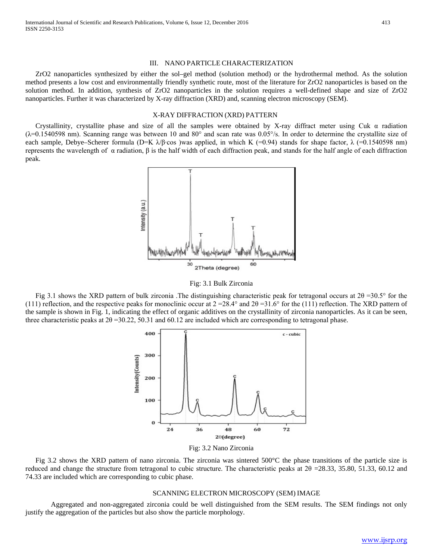#### III. NANO PARTICLE CHARACTERIZATION

ZrO2 nanoparticles synthesized by either the sol–gel method (solution method) or the hydrothermal method. As the solution method presents a low cost and environmentally friendly synthetic route, most of the literature for ZrO2 nanoparticles is based on the solution method. In addition, synthesis of ZrO2 nanoparticles in the solution requires a well-defined shape and size of ZrO2 nanoparticles. Further it was characterized by X-ray diffraction (XRD) and, scanning electron microscopy (SEM).

#### X-RAY DIFFRACTION (XRD) PATTERN

Crystallinity, crystallite phase and size of all the samples were obtained by X-ray diffract meter using Cuk  $\alpha$  radiation  $(\lambda=0.1540598$  nm). Scanning range was between 10 and 80° and scan rate was 0.05°/s. In order to determine the crystallite size of each sample, Debye–Scherer formula (D=K  $\lambda/\beta$ ·cos )was applied, in which K (=0.94) stands for shape factor,  $\lambda$  (=0.1540598 nm) represents the wavelength of α radiation, β is the half width of each diffraction peak, and stands for the half angle of each diffraction peak.



Fig: 3.1 Bulk Zirconia

Fig 3.1 shows the XRD pattern of bulk zirconia .The distinguishing characteristic peak for tetragonal occurs at 2θ =30.5° for the (111) reflection, and the respective peaks for monoclinic occur at  $2 = 28.4^\circ$  and  $2\theta = 31.6^\circ$  for the (111) reflection. The XRD pattern of the sample is shown in Fig. 1, indicating the effect of organic additives on the crystallinity of zirconia nanoparticles. As it can be seen, three characteristic peaks at  $2\theta = 30.22$ , 50.31 and 60.12 are included which are corresponding to tetragonal phase.



Fig: 3.2 Nano Zirconia

Fig 3.2 shows the XRD pattern of nano zirconia. The zirconia was sintered 500°C the phase transitions of the particle size is reduced and change the structure from tetragonal to cubic structure. The characteristic peaks at  $2\theta = 28.33, 35.80, 51.33, 60.12$  and 74.33 are included which are corresponding to cubic phase.

#### SCANNING ELECTRON MICROSCOPY (SEM) IMAGE

Aggregated and non-aggregated zirconia could be well distinguished from the SEM results. The SEM findings not only justify the aggregation of the particles but also show the particle morphology.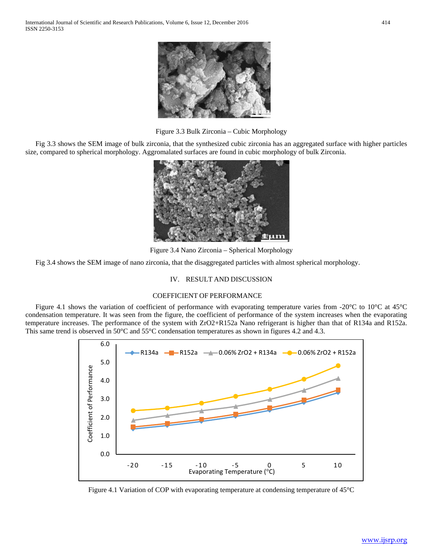

Figure 3.3 Bulk Zirconia – Cubic Morphology

Fig 3.3 shows the SEM image of bulk zirconia, that the synthesized cubic zirconia has an aggregated surface with higher particles size, compared to spherical morphology. Aggromalated surfaces are found in cubic morphology of bulk Zirconia.



Figure 3.4 Nano Zirconia – Spherical Morphology

Fig 3.4 shows the SEM image of nano zirconia, that the disaggregated particles with almost spherical morphology.

## IV. RESULT AND DISCUSSION

# COEFFICIENT OF PERFORMANCE

Figure 4.1 shows the variation of coefficient of performance with evaporating temperature varies from -20°C to 10°C at 45°C condensation temperature. It was seen from the figure, the coefficient of performance of the system increases when the evaporating temperature increases. The performance of the system with ZrO2+R152a Nano refrigerant is higher than that of R134a and R152a. This same trend is observed in 50°C and 55°C condensation temperatures as shown in figures 4.2 and 4.3.



Figure 4.1 Variation of COP with evaporating temperature at condensing temperature of 45°C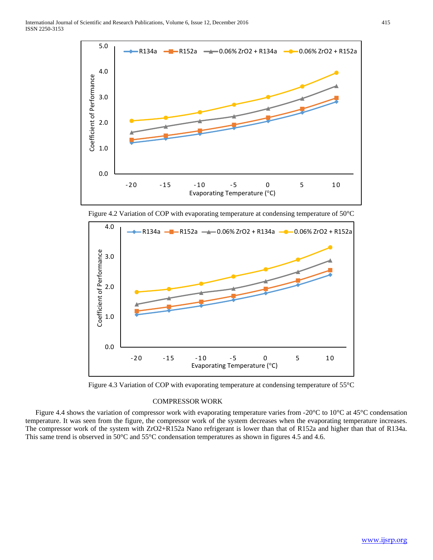

Figure 4.2 Variation of COP with evaporating temperature at condensing temperature of 50°C



Figure 4.3 Variation of COP with evaporating temperature at condensing temperature of 55°C

# COMPRESSOR WORK

Figure 4.4 shows the variation of compressor work with evaporating temperature varies from -20 $^{\circ}$ C to 10 $^{\circ}$ C at 45 $^{\circ}$ C condensation temperature. It was seen from the figure, the compressor work of the system decreases when the evaporating temperature increases. The compressor work of the system with ZrO2+R152a Nano refrigerant is lower than that of R152a and higher than that of R134a. This same trend is observed in 50°C and 55°C condensation temperatures as shown in figures 4.5 and 4.6.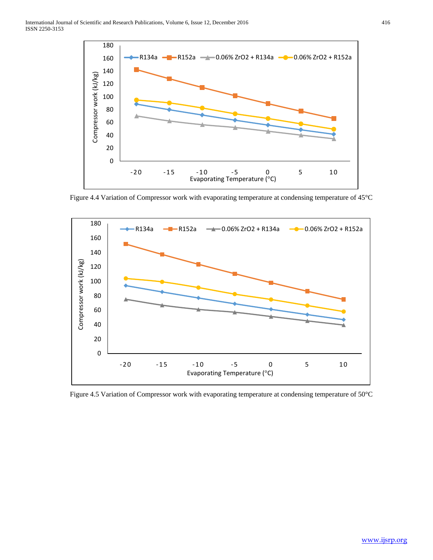

Figure 4.4 Variation of Compressor work with evaporating temperature at condensing temperature of 45°C



Figure 4.5 Variation of Compressor work with evaporating temperature at condensing temperature of 50°C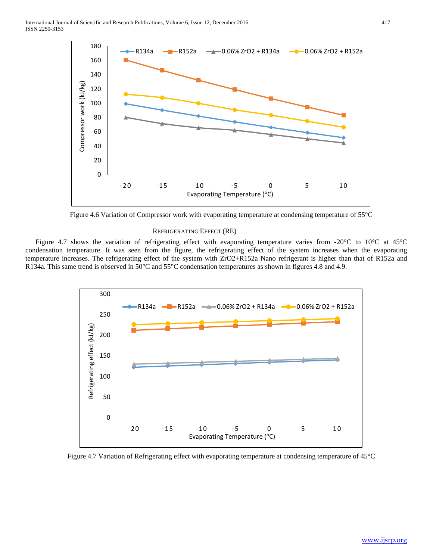

Figure 4.6 Variation of Compressor work with evaporating temperature at condensing temperature of 55°C

#### REFRIGERATING EFFECT (RE)

Figure 4.7 shows the variation of refrigerating effect with evaporating temperature varies from -20°C to 10°C at 45°C condensation temperature. It was seen from the figure, the refrigerating effect of the system increases when the evaporating temperature increases. The refrigerating effect of the system with ZrO2+R152a Nano refrigerant is higher than that of R152a and R134a. This same trend is observed in 50°C and 55°C condensation temperatures as shown in figures 4.8 and 4.9.



Figure 4.7 Variation of Refrigerating effect with evaporating temperature at condensing temperature of 45°C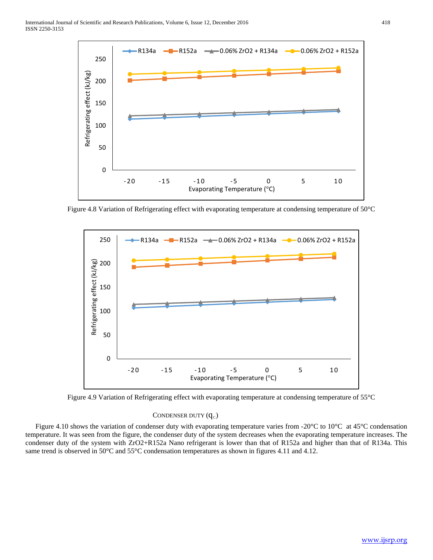

Figure 4.8 Variation of Refrigerating effect with evaporating temperature at condensing temperature of 50°C



Figure 4.9 Variation of Refrigerating effect with evaporating temperature at condensing temperature of 55°C

## CONDENSER DUTY  $(q_c)$

Figure 4.10 shows the variation of condenser duty with evaporating temperature varies from -20 $^{\circ}$ C to 10 $^{\circ}$ C at 45 $^{\circ}$ C condensation temperature. It was seen from the figure, the condenser duty of the system decreases when the evaporating temperature increases. The condenser duty of the system with ZrO2+R152a Nano refrigerant is lower than that of R152a and higher than that of R134a. This same trend is observed in 50°C and 55°C condensation temperatures as shown in figures 4.11 and 4.12.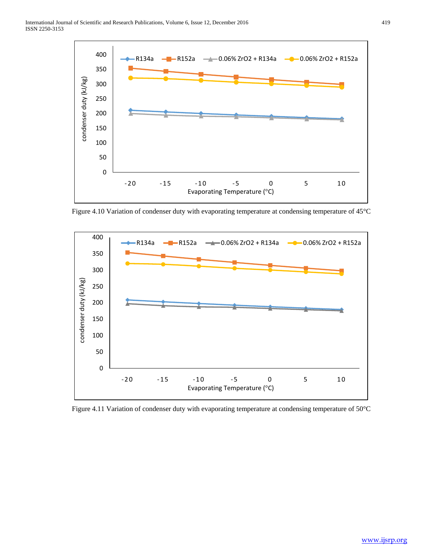

Figure 4.10 Variation of condenser duty with evaporating temperature at condensing temperature of 45°C



Figure 4.11 Variation of condenser duty with evaporating temperature at condensing temperature of 50°C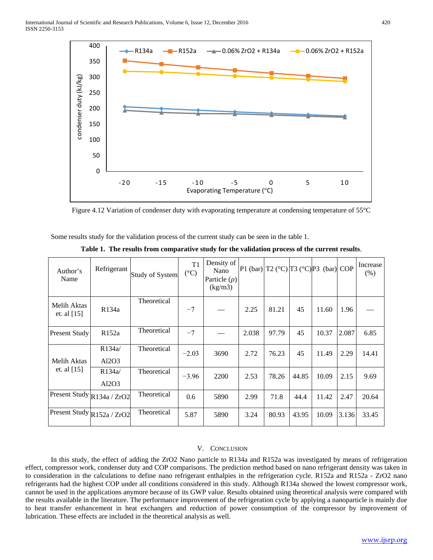

Figure 4.12 Variation of condenser duty with evaporating temperature at condensing temperature of 55°C

Some results study for the validation process of the current study can be seen in the table 1.

| Author's<br>Name             | Refrigerant        | <b>Study of System</b> | T1<br>$({}^{\circ}C)$ | Density of<br>Nano<br>Particle $(\rho)$<br>(kg/m3) | $\left  P1 \right $ (bar) $\left  T2 \right $ (°C) $\left  T3 \right $ (°C) $\left  P3 \right $ (bar) COP |       |       |       |       | Increase<br>(%) |
|------------------------------|--------------------|------------------------|-----------------------|----------------------------------------------------|-----------------------------------------------------------------------------------------------------------|-------|-------|-------|-------|-----------------|
| Melih Aktas<br>et. al $[15]$ | R <sub>134</sub> a | Theoretical            | $-7$                  |                                                    | 2.25                                                                                                      | 81.21 | 45    | 11.60 | 1.96  |                 |
| Present Study                | R <sub>152a</sub>  | Theoretical            | $-7$                  |                                                    | 2.038                                                                                                     | 97.79 | 45    | 10.37 | 2.087 | 6.85            |
| Melih Aktas<br>et. al [15]   | R134a/<br>Al2O3    | Theoretical            | $-2.03$               | 3690                                               | 2.72                                                                                                      | 76.23 | 45    | 11.49 | 2.29  | 14.41           |
|                              | R134a/<br>Al2O3    | Theoretical            | $-3.96$               | 2200                                               | 2.53                                                                                                      | 78.26 | 44.85 | 10.09 | 2.15  | 9.69            |
| Present Study R134a / ZrO2   |                    | Theoretical            | 0.6                   | 5890                                               | 2.99                                                                                                      | 71.8  | 44.4  | 11.42 | 2.47  | 20.64           |
| Present Study R152a / ZrO2   |                    | Theoretical            | 5.87                  | 5890                                               | 3.24                                                                                                      | 80.93 | 43.95 | 10.09 | 3.136 | 33.45           |

**Table 1. The results from comparative study for the validation process of the current results**.

# V. CONCLUSION

In this study, the effect of adding the ZrO2 Nano particle to R134a and R152a was investigated by means of refrigeration effect, compressor work, condenser duty and COP comparisons. The prediction method based on nano refrigerant density was taken in to consideration in the calculations to define nano refrigerant enthalpies in the refrigeration cycle. R152a and R152a - ZrO2 nano refrigerants had the highest COP under all conditions considered in this study. Although R134a showed the lowest compressor work, cannot be used in the applications anymore because of its GWP value. Results obtained using theoretical analysis were compared with the results available in the literature. The performance improvement of the refrigeration cycle by applying a nanoparticle is mainly due to heat transfer enhancement in heat exchangers and reduction of power consumption of the compressor by improvement of lubrication. These effects are included in the theoretical analysis as well.